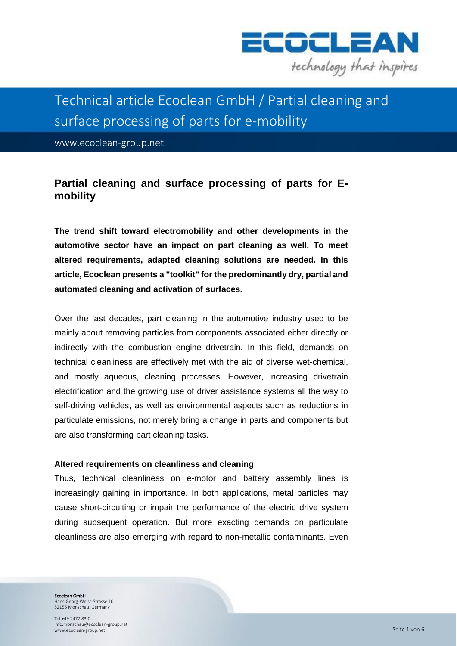

# Technical article Ecoclean GmbH / Partial cleaning and surface processing of parts for e-mobility

www.ecoclean-group.net

## **Partial cleaning and surface processing of parts for Emobility**

**The trend shift toward electromobility and other developments in the automotive sector have an impact on part cleaning as well. To meet altered requirements, adapted cleaning solutions are needed. In this article, Ecoclean presents a "toolkit" for the predominantly dry, partial and automated cleaning and activation of surfaces.**

Over the last decades, part cleaning in the automotive industry used to be mainly about removing particles from components associated either directly or indirectly with the combustion engine drivetrain. In this field, demands on technical cleanliness are effectively met with the aid of diverse wet-chemical, and mostly aqueous, cleaning processes. However, increasing drivetrain electrification and the growing use of driver assistance systems all the way to self-driving vehicles, as well as environmental aspects such as reductions in particulate emissions, not merely bring a change in parts and components but are also transforming part cleaning tasks.

#### **Altered requirements on cleanliness and cleaning**

Thus, technical cleanliness on e-motor and battery assembly lines is increasingly gaining in importance. In both applications, metal particles may cause short-circuiting or impair the performance of the electric drive system during subsequent operation. But more exacting demands on particulate cleanliness are also emerging with regard to non-metallic contaminants. Even

Ecoclean GmbH Hans-Georg-Weiss-Strasse 10 52156 Monschau, Germany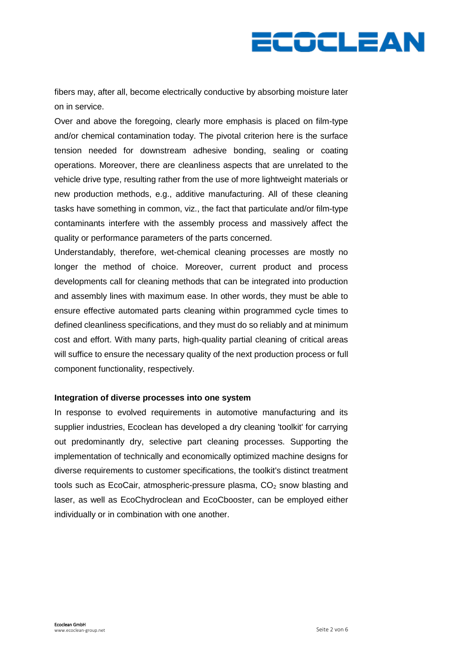

fibers may, after all, become electrically conductive by absorbing moisture later on in service.

Over and above the foregoing, clearly more emphasis is placed on film-type and/or chemical contamination today. The pivotal criterion here is the surface tension needed for downstream adhesive bonding, sealing or coating operations. Moreover, there are cleanliness aspects that are unrelated to the vehicle drive type, resulting rather from the use of more lightweight materials or new production methods, e.g., additive manufacturing. All of these cleaning tasks have something in common, viz., the fact that particulate and/or film-type contaminants interfere with the assembly process and massively affect the quality or performance parameters of the parts concerned.

Understandably, therefore, wet-chemical cleaning processes are mostly no longer the method of choice. Moreover, current product and process developments call for cleaning methods that can be integrated into production and assembly lines with maximum ease. In other words, they must be able to ensure effective automated parts cleaning within programmed cycle times to defined cleanliness specifications, and they must do so reliably and at minimum cost and effort. With many parts, high-quality partial cleaning of critical areas will suffice to ensure the necessary quality of the next production process or full component functionality, respectively.

#### **Integration of diverse processes into one system**

In response to evolved requirements in automotive manufacturing and its supplier industries, Ecoclean has developed a dry cleaning 'toolkit' for carrying out predominantly dry, selective part cleaning processes. Supporting the implementation of technically and economically optimized machine designs for diverse requirements to customer specifications, the toolkit's distinct treatment tools such as EcoCair, atmospheric-pressure plasma,  $CO<sub>2</sub>$  snow blasting and laser, as well as EcoChydroclean and EcoCbooster, can be employed either individually or in combination with one another.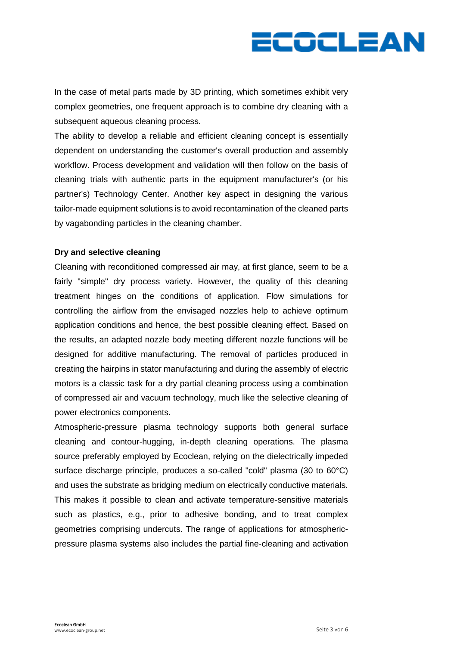

In the case of metal parts made by 3D printing, which sometimes exhibit very complex geometries, one frequent approach is to combine dry cleaning with a subsequent aqueous cleaning process.

The ability to develop a reliable and efficient cleaning concept is essentially dependent on understanding the customer's overall production and assembly workflow. Process development and validation will then follow on the basis of cleaning trials with authentic parts in the equipment manufacturer's (or his partner's) Technology Center. Another key aspect in designing the various tailor-made equipment solutions is to avoid recontamination of the cleaned parts by vagabonding particles in the cleaning chamber.

### **Dry and selective cleaning**

Cleaning with reconditioned compressed air may, at first glance, seem to be a fairly "simple" dry process variety. However, the quality of this cleaning treatment hinges on the conditions of application. Flow simulations for controlling the airflow from the envisaged nozzles help to achieve optimum application conditions and hence, the best possible cleaning effect. Based on the results, an adapted nozzle body meeting different nozzle functions will be designed for additive manufacturing. The removal of particles produced in creating the hairpins in stator manufacturing and during the assembly of electric motors is a classic task for a dry partial cleaning process using a combination of compressed air and vacuum technology, much like the selective cleaning of power electronics components.

Atmospheric-pressure plasma technology supports both general surface cleaning and contour-hugging, in-depth cleaning operations. The plasma source preferably employed by Ecoclean, relying on the dielectrically impeded surface discharge principle, produces a so-called "cold" plasma (30 to 60°C) and uses the substrate as bridging medium on electrically conductive materials. This makes it possible to clean and activate temperature-sensitive materials such as plastics, e.g., prior to adhesive bonding, and to treat complex geometries comprising undercuts. The range of applications for atmosphericpressure plasma systems also includes the partial fine-cleaning and activation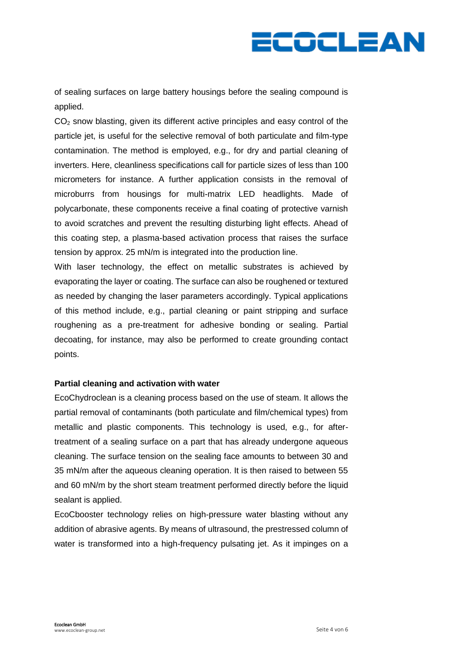

of sealing surfaces on large battery housings before the sealing compound is applied.

CO<sub>2</sub> snow blasting, given its different active principles and easy control of the particle jet, is useful for the selective removal of both particulate and film-type contamination. The method is employed, e.g., for dry and partial cleaning of inverters. Here, cleanliness specifications call for particle sizes of less than 100 micrometers for instance. A further application consists in the removal of microburrs from housings for multi-matrix LED headlights. Made of polycarbonate, these components receive a final coating of protective varnish to avoid scratches and prevent the resulting disturbing light effects. Ahead of this coating step, a plasma-based activation process that raises the surface tension by approx. 25 mN/m is integrated into the production line.

With laser technology, the effect on metallic substrates is achieved by evaporating the layer or coating. The surface can also be roughened or textured as needed by changing the laser parameters accordingly. Typical applications of this method include, e.g., partial cleaning or paint stripping and surface roughening as a pre-treatment for adhesive bonding or sealing. Partial decoating, for instance, may also be performed to create grounding contact points.

#### **Partial cleaning and activation with water**

EcoChydroclean is a cleaning process based on the use of steam. It allows the partial removal of contaminants (both particulate and film/chemical types) from metallic and plastic components. This technology is used, e.g., for aftertreatment of a sealing surface on a part that has already undergone aqueous cleaning. The surface tension on the sealing face amounts to between 30 and 35 mN/m after the aqueous cleaning operation. It is then raised to between 55 and 60 mN/m by the short steam treatment performed directly before the liquid sealant is applied.

EcoCbooster technology relies on high-pressure water blasting without any addition of abrasive agents. By means of ultrasound, the prestressed column of water is transformed into a high-frequency pulsating jet. As it impinges on a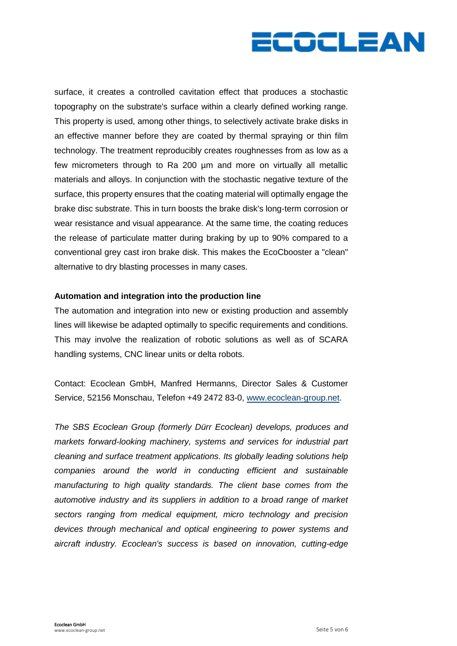

surface, it creates a controlled cavitation effect that produces a stochastic topography on the substrate's surface within a clearly defined working range. This property is used, among other things, to selectively activate brake disks in an effective manner before they are coated by thermal spraying or thin film technology. The treatment reproducibly creates roughnesses from as low as a few micrometers through to Ra 200 µm and more on virtually all metallic materials and alloys. In conjunction with the stochastic negative texture of the surface, this property ensures that the coating material will optimally engage the brake disc substrate. This in turn boosts the brake disk's long-term corrosion or wear resistance and visual appearance. At the same time, the coating reduces the release of particulate matter during braking by up to 90% compared to a conventional grey cast iron brake disk. This makes the EcoCbooster a "clean" alternative to dry blasting processes in many cases.

#### **Automation and integration into the production line**

The automation and integration into new or existing production and assembly lines will likewise be adapted optimally to specific requirements and conditions. This may involve the realization of robotic solutions as well as of SCARA handling systems, CNC linear units or delta robots.

Contact: Ecoclean GmbH, Manfred Hermanns, Director Sales & Customer Service, 52156 Monschau, Telefon +49 2472 83-0, [www.ecoclean-group.net.](http://www.ecoclean-group.net/)

*The SBS Ecoclean Group (formerly Dürr Ecoclean) develops, produces and markets forward-looking machinery, systems and services for industrial part cleaning and surface treatment applications. Its globally leading solutions help companies around the world in conducting efficient and sustainable manufacturing to high quality standards. The client base comes from the automotive industry and its suppliers in addition to a broad range of market sectors ranging from medical equipment, micro technology and precision devices through mechanical and optical engineering to power systems and aircraft industry. Ecoclean's success is based on innovation, cutting-edge*